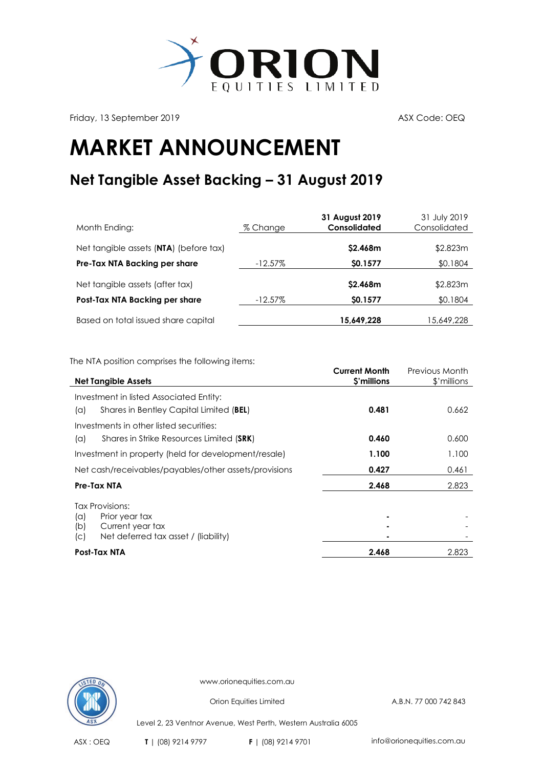

Friday, 13 September 2019 **ASX** Code: OEQ

## **MARKET ANNOUNCEMENT**

## **Net Tangible Asset Backing – 31 August 2019**

| Month Ending:                          | % Change   | 31 August 2019<br><b>Consolidated</b> | 31 July 2019<br>Consolidated |
|----------------------------------------|------------|---------------------------------------|------------------------------|
| Net tangible assets (NTA) (before tax) |            | \$2.468m                              | \$2.823m                     |
| Pre-Tax NTA Backing per share          | $-12.57\%$ | \$0.1577                              | \$0.1804                     |
| Net tangible assets (after tax)        |            | \$2.468m                              | \$2.823m                     |
| Post-Tax NTA Backing per share         | $-12.57\%$ | \$0.1577                              | \$0.1804                     |
| Based on total issued share capital    |            | 15,649,228                            | 15,649,228                   |

The NTA position comprises the following items:

|                                                       | <b>Current Month</b> | Previous Month |
|-------------------------------------------------------|----------------------|----------------|
| <b>Net Tangible Assets</b>                            | \$'millions          | \$'millions    |
| Investment in listed Associated Entity:               |                      |                |
| Shares in Bentley Capital Limited (BEL)<br>(a)        | 0.481                | 0.662          |
| Investments in other listed securities:               |                      |                |
| Shares in Strike Resources Limited (SRK)<br>(a)       | 0.460                | 0.600          |
| Investment in property (held for development/resale)  | 1.100                | 1.100          |
| Net cash/receivables/payables/other assets/provisions | 0.427                | 0.461          |
| Pre-Tax NTA                                           | 2.468                | 2.823          |
| Tax Provisions:                                       |                      |                |
| Prior year tax<br>$(\alpha)$                          |                      |                |
| Current year tax<br>(b)                               |                      |                |
| Net deferred tax asset / (liability)<br>(C)           |                      |                |
| Post-Tax NTA                                          | 2.468                | 2.823          |



www.orionequities.com.au

Orion Equities Limited A.B.N. 77 000 742 843

Level 2, 23 Ventnor Avenue, West Perth, Western Australia 6005